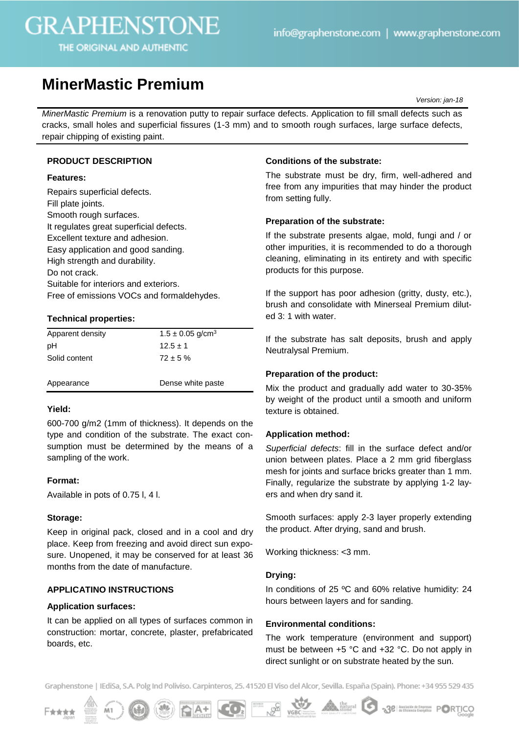# **GRAPHENSTONE**

THE ORIGINAL AND AUTHENTIC

# **MinerMastic Premium**

*Version: jan-18*

*MinerMastic Premium* is a renovation putty to repair surface defects. Application to fill small defects such as cracks, small holes and superficial fissures (1-3 mm) and to smooth rough surfaces, large surface defects, repair chipping of existing paint.

# **PRODUCT DESCRIPTION**

#### **Features:**

Repairs superficial defects. Fill plate joints. Smooth rough surfaces. It regulates great superficial defects. Excellent texture and adhesion. Easy application and good sanding. High strength and durability. Do not crack. Suitable for interiors and exteriors. Free of emissions VOCs and formaldehydes.

# **Technical properties:**

| Apparent density | $1.5 \pm 0.05$ g/cm <sup>3</sup> |
|------------------|----------------------------------|
| рH               | $12.5 \pm 1$                     |
| Solid content    | $72 \pm 5 \%$                    |
| Appearance       | Dense white paste                |

#### **Yield:**

600-700 g/m2 (1mm of thickness). It depends on the type and condition of the substrate. The exact consumption must be determined by the means of a sampling of the work.

# **Format:**

Available in pots of 0.75 l, 4 l.

# **Storage:**

Keep in original pack, closed and in a cool and dry place. Keep from freezing and avoid direct sun exposure. Unopened, it may be conserved for at least 36 months from the date of manufacture.

# **APPLICATINO INSTRUCTIONS**

### **Application surfaces:**

It can be applied on all types of surfaces common in construction: mortar, concrete, plaster, prefabricated boards, etc.

### **Conditions of the substrate:**

The substrate must be dry, firm, well-adhered and free from any impurities that may hinder the product from setting fully.

# **Preparation of the substrate:**

If the substrate presents algae, mold, fungi and / or other impurities, it is recommended to do a thorough cleaning, eliminating in its entirety and with specific products for this purpose.

If the support has poor adhesion (gritty, dusty, etc.), brush and consolidate with Minerseal Premium diluted 3: 1 with water.

If the substrate has salt deposits, brush and apply Neutralysal Premium.

# **Preparation of the product:**

Mix the product and gradually add water to 30-35% by weight of the product until a smooth and uniform texture is obtained.

#### **Application method:**

*Superficial defects*: fill in the surface defect and/or union between plates. Place a 2 mm grid fiberglass mesh for joints and surface bricks greater than 1 mm. Finally, regularize the substrate by applying 1-2 layers and when dry sand it.

Smooth surfaces: apply 2-3 layer properly extending the product. After drying, sand and brush.

Working thickness: <3 mm.

#### **Drying:**

In conditions of 25 °C and 60% relative humidity: 24 hours between layers and for sanding.

# **Environmental conditions:**

The work temperature (environment and support) must be between +5 °C and +32 °C. Do not apply in direct sunlight or on substrate heated by the sun.

Graphenstone | IEdiSa, S.A. Polg Ind Poliviso. Carpinteros, 25. 41520 El Viso del Alcor, Sevilla. España (Spain). Phone: +34 955 529 435